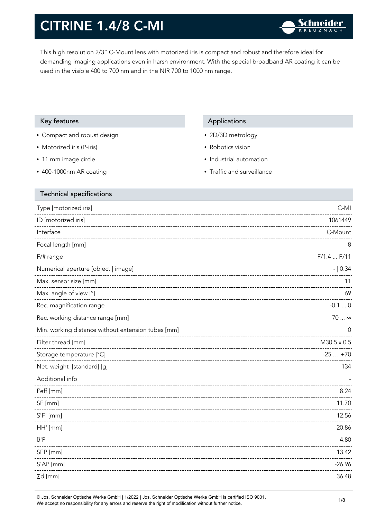This high resolution 2/3" C-Mount lens with motorized iris is compact and robust and therefore ideal for demanding imaging applications even in harsh environment. With the special broadband AR coating it can be used in the visible 400 to 700 nm and in the NIR 700 to 1000 nm range.

### Key features **Applications** Applications

- Compact and robust design
- Motorized iris (P-iris)
- 11 mm image circle
- 400-1000nm AR coating

- 2D/3D metrology
- Robotics vision
- Industrial automation
- Traffic and surveillance

| $C-MI$             |
|--------------------|
| 1061449            |
| C-Mount            |
| 8                  |
| $F/1.4$ $F/11$     |
| $- 0.34$           |
| 11                 |
| 69                 |
| $-0.10$            |
| 70  ∞              |
| O                  |
| $M30.5 \times 0.5$ |
| $-25+70$           |
| 134                |
|                    |
| 8.24               |
| 11.70              |
| 12.56              |
| 20.86              |
| 4.80               |
| 13.42              |
| $-26.96$           |
| 36.48              |
|                    |

© Jos. Schneider Optische Werke GmbH | 1/2022 | Jos. Schneider Optische Werke GmbH is certified ISO 9001. We accept no responsibility for any errors and reserve the right of modification without further notice.<br>We accept no responsibility for any errors and reserve the right of modification without further notice.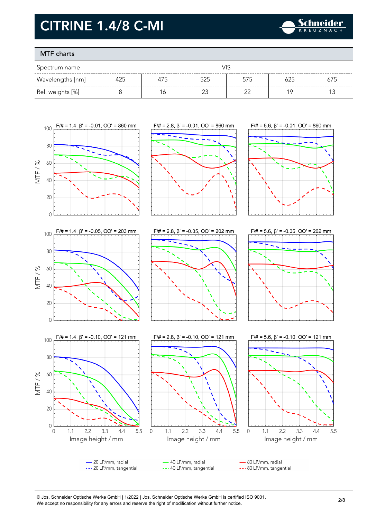

### MTF charts

| Spectrum name    | VIS |     |     |     |     |     |
|------------------|-----|-----|-----|-----|-----|-----|
| Wavelengths [nm] | 425 | 4/5 | 525 | 575 |     | 675 |
| Rel. weights [%] |     | Ó   |     |     | 1 C |     |



#### © Jos. Schneider Optische Werke GmbH | 1/2022 | Jos. Schneider Optische Werke GmbH is certified ISO 9001. We accept no responsibility for any errors and reserve the right of modification without further notice.<br>We accept no responsibility for any errors and reserve the right of modification without further notice.

 $4.4$ 

5.5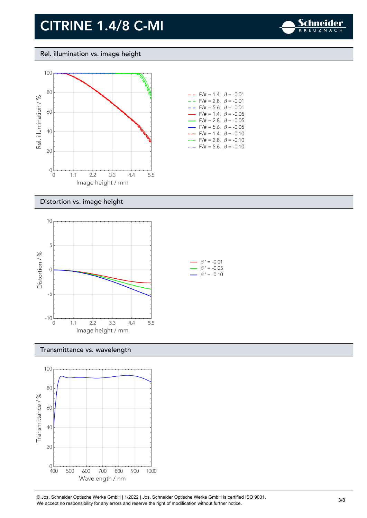

### Rel. illumination vs. image height



| $-$ - F/# = 1.4, $\beta$ = -0.01         |
|------------------------------------------|
| $- -$ F/# = 2.8, $\beta$ = -0.01         |
| $- -$ F/# = 5.6, $\beta$ = -0.01         |
| $\rightarrow$ F/# = 1.4, $\beta$ = -0.05 |
| $\rightarrow$ F/# = 2.8, $\beta$ = -0.05 |
| $\rightarrow$ F/# = 5.6, $\beta$ = -0.05 |
| $F/\ddot{t} = 1.4$ , $\beta = -0.10$     |
| $F/\ddot{=} = 2.8, \ \beta = -0.10$      |
| F/# = 5.6, $\beta$ = -0.10               |

#### Distortion vs. image height



#### Transmittance vs. wavelength



© Jos. Schneider Optische Werke GmbH | 1/2022 | Jos. Schneider Optische Werke GmbH is certified ISO 9001.  $\bullet$  Jos. Scrinelder Opuscrie werke Grildri | 1/2022 | Jos. Scrinelder Opuscrie werke Grildri is certuled ISO 9001.<br>We accept no responsibility for any errors and reserve the right of modification without further notice.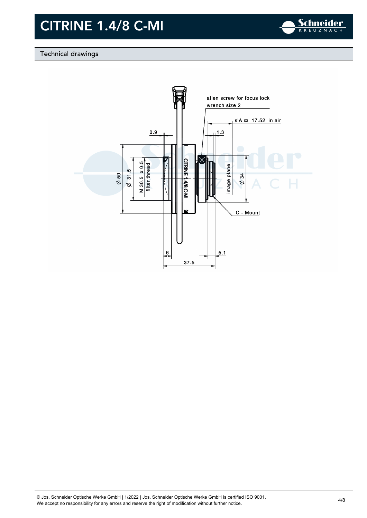

### Technical drawings

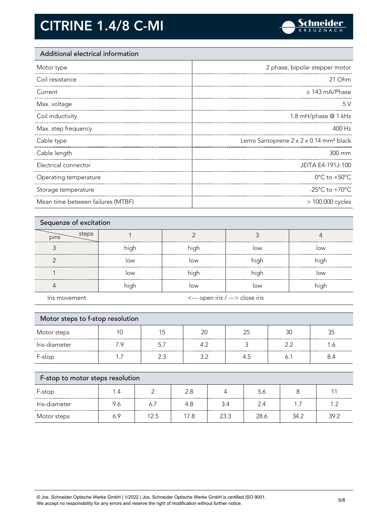

### Additional electrical information

| Motor type            | 2 phase, bipolar stepper motor                     |
|-----------------------|----------------------------------------------------|
| Coil resistance       | 21 Ohm                                             |
| Current               | $\leq$ 143 mA/Phase                                |
| Max. voltage          | 5V                                                 |
| Coil inductivity      | 1.8 mH/phase @ 1 kHz                               |
| Max. step frequency   | 400 Hz                                             |
| Cable type            | Lemo Santoprene 2 x 2 x 0.14 mm <sup>2</sup> black |
|                       |                                                    |
| Cable length          | 300 mm                                             |
| Electrical connector  | JEITA E4-191J-100                                  |
| Operating temperature | $0^{\circ}$ C to +50 $^{\circ}$ C                  |
| Storage temperature   | -25 $^{\circ}$ C to +70 $^{\circ}$ C               |

| Sequenze of excitation |      |                                  |      |      |
|------------------------|------|----------------------------------|------|------|
| steps<br>pins          |      |                                  |      |      |
|                        | high | high                             | low  | low  |
|                        | low  | low                              | high | high |
|                        | low  | high                             | high | low  |
|                        | high | low                              | low  | high |
| Iris movement          |      | <--- open iris / ---> close iris |      |      |

| Motor steps to f-stop resolution |     |     |     |     |     |     |
|----------------------------------|-----|-----|-----|-----|-----|-----|
| Motor steps                      |     | 15  | 20  | 25  | 30  | 35  |
| Iris-diameter                    | 7.9 | 5.7 | 4.2 |     | 2.2 | 1.6 |
| F-stop                           | 17  | 2.3 | 3.2 | 4.5 | Ő.  | 8.4 |
|                                  |     |     |     |     |     |     |

| F-stop to motor steps resolution |     |      |      |      |      |      |      |
|----------------------------------|-----|------|------|------|------|------|------|
| F-stop                           | 1.4 |      | 2.8  |      | 5.6  |      |      |
| Iris-diameter                    | 9.6 | 6.7  | 4.8  | 3.4  | 2.4  | 17   | 12   |
| Motor steps                      | 6.9 | 12.5 | 17.8 | 23.3 | 28.6 | 34.2 | 39.2 |

© Jos. Schneider Optische Werke GmbH | 1/2022 | Jos. Schneider Optische Werke GmbH is certified ISO 9001. We accept no responsibility for any errors and reserve the right of modification without further notice. 5/8<br>We accept no responsibility for any errors and reserve the right of modification without further notice.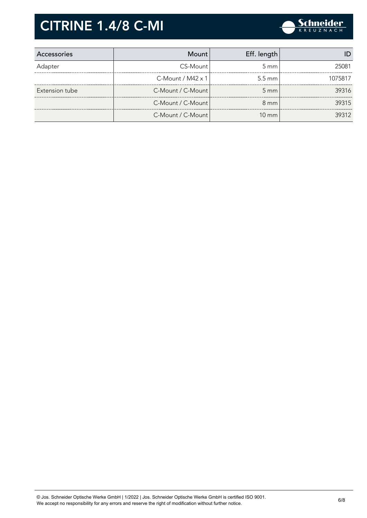

| Accessories    | Mount                    | Eff. length      |         |
|----------------|--------------------------|------------------|---------|
| Adapter        | CS-Mount                 | $5 \text{ mm}$   | 25081   |
|                | C-Mount / $M42 \times 1$ | $5.5 \text{ mm}$ | 1075817 |
| Extension tube | C-Mount / C-Mount        | $5 \, \text{mm}$ | 39316   |
|                | C-Mount / C-Mount        | $8 \text{ mm}$   | 39315   |
|                | C-Mount / C-Mount        | $10 \text{ mm}$  | 39312   |